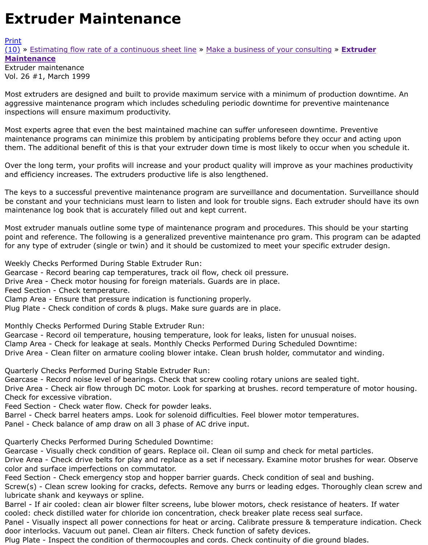## Vol. 26 #1, March 1999

Most extruders are designed and built to provide maximum service with a minimum of production d aggressive maintenance program which includes scheduling periodic downtime for preventive maint [inspe](http://extrusionwiki.com/wiki/Print.aspx?Page=CC-V26-1-A)ctions will ensure maximum productivity.

Most experts agree that even the best maintained machine can suffer unforeseen downtime. Prever maintenance programs can minimize this problem by anticipating problems before they occur and a them. The additional benefit of this is that your extruder down time is most likely to occur when you

Over the long term, your profits will increase and your product quality will improve as your machine and efficiency increases. The extruders productive life is also lengthened.

The keys to a successful preventive maintenance program are surveillance and documentation. Surv be constant and your technicians must learn to listen and look for trouble signs. Each extruder shou maintenance log book that is accurately filled out and kept current.

Most extruder manuals outline some type of maintenance program and procedures. This should be your point and reference. The following is a generalized preventive maintenance pro gram. This program for any type of extruder (single or twin) and it should be customized to meet your specific extruder

Weekly Checks Performed During Stable Extruder Run:

Gearcase - Record bearing cap temperatures, track oil flow, check oil pressure.

Drive Area - Check motor housing for foreign materials. Guards are in place.

Feed Section - Check temperature.

Clamp Area - Ensure that pressure indication is functioning properly.

Plug Plate - Check condition of cords & plugs. Make sure guards are in place.

Monthly Checks Performed During Stable Extruder Run:

Gearcase - Record oil temperature, housing temperature, look for leaks, listen for unusual noises. Clamp Area - Check for leakage at seals. Monthly Checks Performed During Scheduled Downtime: Drive Area - Clean filter on armature cooling blower intake. Clean brush holder, commutator and win

Quarterly Checks Performed During Stable Extruder Run:

Gearcase - Record noise level of bearings. Check that screw cooling rotary unions are sealed tight. Drive Area - Check air flow through DC motor. Look for sparking at brushes. record temperature of Check for excessive vibration.

Feed Section - Check water flow. Check for powder leaks.

Barrel - Check barrel heaters amps. Look for solenoid difficulties. Feel blower motor temperatures. Panel - Check balance of amp draw on all 3 phase of AC drive input.

Quarterly Checks Performed During Scheduled Downtime:

Gearcase - Visually check condition of gears. Replace oil. Clean oil sump and check for metal particl Drive Area - Check drive belts for play and replace as a set if necessary. Examine motor brushes for color and surface imperfections on commutator.

Feed Section - Check emergency stop and hopper barrier guards. Check condition of seal and bushing Screw(s) - Clean screw looking for cracks, defects. Remove any burrs or leading edges. Thoroughly lubricate shank and keyways or spline.

Barrel - If air cooled: clean air blower filter screens, lube blower motors, check resistance of heaters. cooled: check distilled water for chloride ion concentration, check breaker plate recess seal surface. Panel - Visually inspect all power connections for heat or arcing. Calibrate pressure & temperature in door interlocks. Vacuum out panel. Clean air filters. Check function of safety devices.

Plug Plate - Inspect the condition of thermocouples and cords. Check continuity of die ground blade.